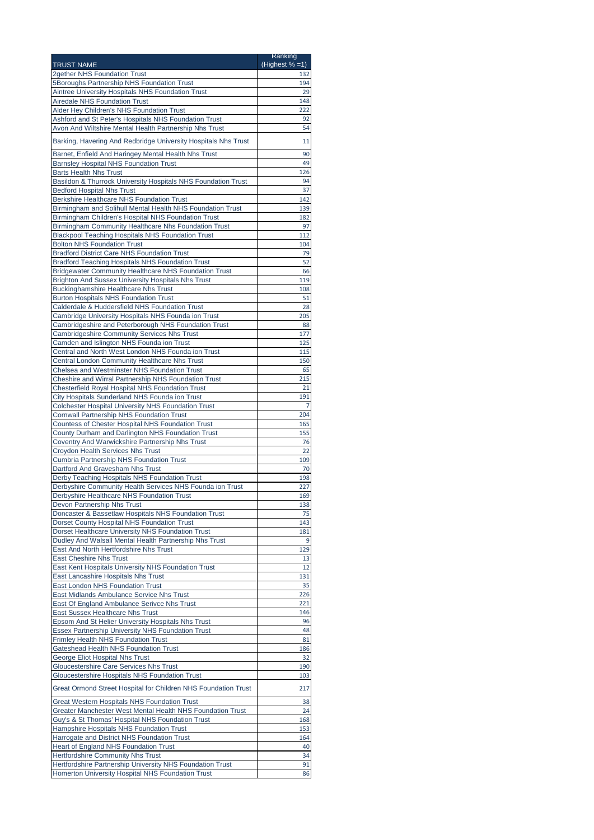|                                                                                                                   | Ranking<br>(Highest $% = 1$ ) |
|-------------------------------------------------------------------------------------------------------------------|-------------------------------|
| <b>TRUST NAME</b><br>2gether NHS Foundation Trust                                                                 | 132                           |
| 5Boroughs Partnership NHS Foundation Trust                                                                        | 194                           |
| Aintree University Hospitals NHS Foundation Trust                                                                 | 29                            |
| <b>Airedale NHS Foundation Trust</b>                                                                              | 148                           |
| Alder Hey Children's NHS Foundation Trust                                                                         | 222                           |
| Ashford and St Peter's Hospitals NHS Foundation Trust                                                             | 92                            |
| Avon And Wiltshire Mental Health Partnership Nhs Trust                                                            | 54                            |
| Barking, Havering And Redbridge University Hospitals Nhs Trust                                                    | 11                            |
| Barnet, Enfield And Haringey Mental Health Nhs Trust                                                              | 90                            |
| <b>Barnsley Hospital NHS Foundation Trust</b>                                                                     | 49                            |
| <b>Barts Health Nhs Trust</b>                                                                                     | 126                           |
| Basildon & Thurrock University Hospitals NHS Foundation Trust                                                     | 94                            |
| <b>Bedford Hospital Nhs Trust</b>                                                                                 | 37                            |
| Berkshire Healthcare NHS Foundation Trust                                                                         | 142                           |
| Birmingham and Solihull Mental Health NHS Foundation Trust<br>Birmingham Children's Hospital NHS Foundation Trust | 139<br>182                    |
| Birmingham Community Healthcare Nhs Foundation Trust                                                              | 97                            |
| <b>Blackpool Teaching Hospitals NHS Foundation Trust</b>                                                          | 112                           |
| <b>Bolton NHS Foundation Trust</b>                                                                                | 104                           |
| <b>Bradford District Care NHS Foundation Trust</b>                                                                | 79                            |
| <b>Bradford Teaching Hospitals NHS Foundation Trust</b>                                                           | 52                            |
| <b>Bridgewater Community Healthcare NHS Foundation Trust</b>                                                      | 66                            |
| <b>Brighton And Sussex University Hospitals Nhs Trust</b>                                                         | 119                           |
| <b>Buckinghamshire Healthcare Nhs Trust</b><br><b>Burton Hospitals NHS Foundation Trust</b>                       | 108<br>51                     |
| Calderdale & Huddersfield NHS Foundation Trust                                                                    | 28                            |
| Cambridge University Hospitals NHS Founda ion Trust                                                               | 205                           |
| Cambridgeshire and Peterborough NHS Foundation Trust                                                              | 88                            |
| Cambridgeshire Community Services Nhs Trust                                                                       | 177                           |
| Camden and Islington NHS Founda ion Trust                                                                         | 125                           |
| Central and North West London NHS Founda ion Trust                                                                | 115                           |
| Central London Community Healthcare Nhs Trust<br>Chelsea and Westminster NHS Foundation Trust                     | 150<br>65                     |
| Cheshire and Wirral Partnership NHS Foundation Trust                                                              | 215                           |
| Chesterfield Royal Hospital NHS Foundation Trust                                                                  | 21                            |
| City Hospitals Sunderland NHS Founda ion Trust                                                                    | 191                           |
| Colchester Hospital University NHS Foundation Trust                                                               | 7                             |
| <b>Cornwall Partnership NHS Foundation Trust</b>                                                                  | 204                           |
| Countess of Chester Hospital NHS Foundation Trust                                                                 | 165                           |
| County Durham and Darlington NHS Foundation Trust                                                                 | 155                           |
| Coventry And Warwickshire Partnership Nhs Trust<br><b>Croydon Health Services Nhs Trust</b>                       | 76<br>22                      |
| Cumbria Partnership NHS Foundation Trust                                                                          | 109                           |
| Dartford And Gravesham Nhs Trust                                                                                  | 70                            |
| Derby Teaching Hospitals NHS Foundation Trust                                                                     | 198                           |
| Derbyshire Community Health Services NHS Founda ion Trust                                                         | 227                           |
| Derbyshire Healthcare NHS Foundation Trust                                                                        | 169                           |
| Devon Partnership Nhs Trust<br>Doncaster & Bassetlaw Hospitals NHS Foundation Trust                               | 138<br>75                     |
| Dorset County Hospital NHS Foundation Trust                                                                       | 143                           |
| Dorset Healthcare University NHS Foundation Trust                                                                 | 181                           |
| Dudley And Walsall Mental Health Partnership Nhs Trust                                                            | 9                             |
| East And North Hertfordshire Nhs Trust                                                                            | 129                           |
| <b>East Cheshire Nhs Trust</b>                                                                                    | 13                            |
| East Kent Hospitals University NHS Foundation Trust                                                               | 12                            |
| East Lancashire Hospitals Nhs Trust                                                                               | 131                           |
| <b>East London NHS Foundation Trust</b><br>East Midlands Ambulance Service Nhs Trust                              | 35<br>226                     |
| East Of England Ambulance Serivce Nhs Trust                                                                       | 221                           |
| East Sussex Healthcare Nhs Trust                                                                                  | 146                           |
| Epsom And St Helier University Hospitals Nhs Trust                                                                | 96                            |
| Essex Partnership University NHS Foundation Trust                                                                 | 48                            |
| <b>Frimley Health NHS Foundation Trust</b>                                                                        | 81                            |
| Gateshead Health NHS Foundation Trust                                                                             | 186                           |
| George Eliot Hospital Nhs Trust<br><b>Gloucestershire Care Services Nhs Trust</b>                                 | 32<br>190                     |
| Gloucestershire Hospitals NHS Foundation Trust                                                                    | 103                           |
|                                                                                                                   |                               |
| Great Ormond Street Hospital for Children NHS Foundation Trust                                                    | 217                           |
| <b>Great Western Hospitals NHS Foundation Trust</b>                                                               | 38                            |
| Greater Manchester West Mental Health NHS Foundation Trust                                                        | 24                            |
| Guy's & St Thomas' Hospital NHS Foundation Trust                                                                  | 168                           |
| Hampshire Hospitals NHS Foundation Trust                                                                          | 153                           |
| Harrogate and District NHS Foundation Trust<br><b>Heart of England NHS Foundation Trust</b>                       | 164<br>40                     |
| <b>Hertfordshire Community Nhs Trust</b>                                                                          | 34                            |
| Hertfordshire Partnership University NHS Foundation Trust                                                         | 91                            |
| Homerton University Hospital NHS Foundation Trust                                                                 | 86                            |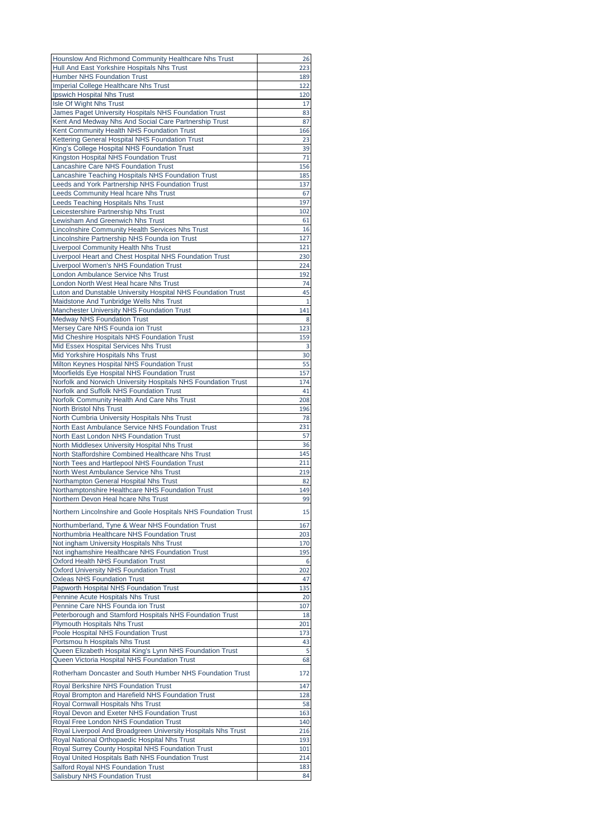|                                                                                                     | 26        |
|-----------------------------------------------------------------------------------------------------|-----------|
| Hounslow And Richmond Community Healthcare Nhs Trust<br>Hull And East Yorkshire Hospitals Nhs Trust | 223       |
|                                                                                                     | 189       |
| <b>Humber NHS Foundation Trust</b>                                                                  | 122       |
| <b>Imperial College Healthcare Nhs Trust</b>                                                        |           |
| Ipswich Hospital Nhs Trust                                                                          | 120       |
| Isle Of Wight Nhs Trust                                                                             | 17        |
| James Paget University Hospitals NHS Foundation Trust                                               | 83        |
| Kent And Medway Nhs And Social Care Partnership Trust                                               | 87        |
| Kent Community Health NHS Foundation Trust                                                          | 166       |
| Kettering General Hospital NHS Foundation Trust                                                     | 23        |
| King's College Hospital NHS Foundation Trust                                                        | 39        |
| Kingston Hospital NHS Foundation Trust                                                              | 71        |
| Lancashire Care NHS Foundation Trust                                                                | 156       |
| Lancashire Teaching Hospitals NHS Foundation Trust                                                  | 185       |
| Leeds and York Partnership NHS Foundation Trust                                                     | 137       |
| Leeds Community Heal hcare Nhs Trust                                                                | 67        |
| Leeds Teaching Hospitals Nhs Trust                                                                  | 197       |
| Leicestershire Partnership Nhs Trust                                                                | 102       |
| Lewisham And Greenwich Nhs Trust                                                                    | 61        |
|                                                                                                     | 16        |
| Lincolnshire Community Health Services Nhs Trust                                                    |           |
| Lincolnshire Partnership NHS Founda ion Trust                                                       | 127       |
| <b>Liverpool Community Health Nhs Trust</b>                                                         | 121       |
| Liverpool Heart and Chest Hospital NHS Foundation Trust                                             | 230       |
| Liverpool Women's NHS Foundation Trust                                                              | 224       |
| London Ambulance Service Nhs Trust                                                                  | 192       |
| London North West Heal hcare Nhs Trust                                                              | 74        |
| Luton and Dunstable University Hospital NHS Foundation Trust                                        | 45        |
| Maidstone And Tunbridge Wells Nhs Trust                                                             | 1         |
| Manchester University NHS Foundation Trust                                                          | 141       |
| <b>Medway NHS Foundation Trust</b>                                                                  | 8         |
| Mersey Care NHS Founda ion Trust                                                                    | 123       |
| Mid Cheshire Hospitals NHS Foundation Trust                                                         | 159       |
| Mid Essex Hospital Services Nhs Trust                                                               | 3         |
| Mid Yorkshire Hospitals Nhs Trust                                                                   | 30        |
| Milton Keynes Hospital NHS Foundation Trust                                                         | 55        |
| Moorfields Eye Hospital NHS Foundation Trust                                                        | 157       |
| Norfolk and Norwich University Hospitals NHS Foundation Trust                                       | 174       |
| Norfolk and Suffolk NHS Foundation Trust                                                            | 41        |
| Norfolk Community Health And Care Nhs Trust                                                         | 208       |
| <b>North Bristol Nhs Trust</b>                                                                      | 196       |
| North Cumbria University Hospitals Nhs Trust                                                        | 78        |
| North East Ambulance Service NHS Foundation Trust                                                   | 231       |
| North East London NHS Foundation Trust                                                              | 57        |
| North Middlesex University Hospital Nhs Trust                                                       |           |
|                                                                                                     | 36        |
| North Staffordshire Combined Healthcare Nhs Trust                                                   | 145       |
| North Tees and Hartlepool NHS Foundation Trust                                                      | 211       |
| North West Ambulance Service Nhs Trust                                                              | 219       |
| Northampton General Hospital Nhs Trust                                                              | 82        |
| Northamptonshire Healthcare NHS Foundation Trust                                                    | 149       |
| Northern Devon Heal hcare Nhs Trust                                                                 |           |
|                                                                                                     | 99        |
|                                                                                                     |           |
| Northern Lincolnshire and Goole Hospitals NHS Foundation Trust                                      | 15        |
| Northumberland, Tyne & Wear NHS Foundation Trust                                                    | 167       |
| Northumbria Healthcare NHS Foundation Trust                                                         | 203       |
| Not ingham University Hospitals Nhs Trust                                                           | 170       |
| Not inghamshire Healthcare NHS Foundation Trust                                                     | 195       |
| Oxford Health NHS Foundation Trust                                                                  | 6         |
| <b>Oxford University NHS Foundation Trust</b>                                                       | 202       |
| <b>Oxleas NHS Foundation Trust</b>                                                                  | 47        |
| Papworth Hospital NHS Foundation Trust                                                              | 135       |
| Pennine Acute Hospitals Nhs Trust                                                                   | 20        |
| Pennine Care NHS Founda ion Trust                                                                   | 107       |
| Peterborough and Stamford Hospitals NHS Foundation Trust                                            | 18        |
| <b>Plymouth Hospitals Nhs Trust</b>                                                                 | 201       |
| Poole Hospital NHS Foundation Trust                                                                 | 173       |
| Portsmou h Hospitals Nhs Trust                                                                      | 43        |
| Queen Elizabeth Hospital King's Lynn NHS Foundation Trust                                           | 5         |
| Queen Victoria Hospital NHS Foundation Trust                                                        | 68        |
|                                                                                                     |           |
| Rotherham Doncaster and South Humber NHS Foundation Trust                                           | 172       |
| Royal Berkshire NHS Foundation Trust                                                                | 147       |
| Royal Brompton and Harefield NHS Foundation Trust                                                   | 128       |
| Royal Cornwall Hospitals Nhs Trust                                                                  | 58        |
| Royal Devon and Exeter NHS Foundation Trust                                                         | 163       |
|                                                                                                     |           |
| Royal Free London NHS Foundation Trust                                                              | 140       |
| Royal Liverpool And Broadgreen University Hospitals Nhs Trust                                       | 216       |
| Royal National Orthopaedic Hospital Nhs Trust                                                       | 193       |
| Royal Surrey County Hospital NHS Foundation Trust                                                   | 101       |
| Royal United Hospitals Bath NHS Foundation Trust                                                    | 214       |
| Salford Royal NHS Foundation Trust<br><b>Salisbury NHS Foundation Trust</b>                         | 183<br>84 |